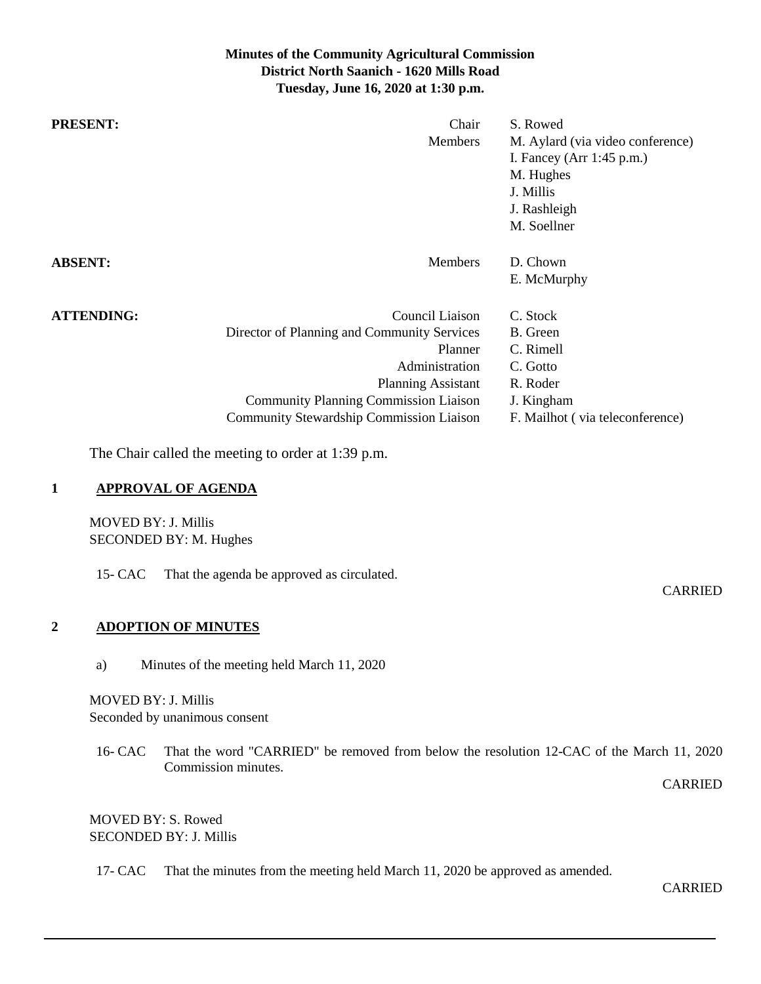# **Minutes of the Community Agricultural Commission District North Saanich - 1620 Mills Road Tuesday, June 16, 2020 at 1:30 p.m.**

| <b>PRESENT:</b>                                                                                                                   | Chair<br>Members                                                                                                                                                                                                                                                                                                         | S. Rowed<br>M. Aylard (via video conference)<br>I. Fancey (Arr 1:45 p.m.)<br>M. Hughes<br>J. Millis<br>J. Rashleigh<br>M. Soellner  |
|-----------------------------------------------------------------------------------------------------------------------------------|--------------------------------------------------------------------------------------------------------------------------------------------------------------------------------------------------------------------------------------------------------------------------------------------------------------------------|-------------------------------------------------------------------------------------------------------------------------------------|
| <b>ABSENT:</b>                                                                                                                    | Members                                                                                                                                                                                                                                                                                                                  | D. Chown<br>E. McMurphy                                                                                                             |
| <b>ATTENDING:</b><br><b>APPROVAL OF AGENDA</b><br>$\mathbf{1}$<br><b>MOVED BY: J. Millis</b><br>SECONDED BY: M. Hughes<br>15- CAC | Council Liaison<br>Director of Planning and Community Services<br>Planner<br>Administration<br><b>Planning Assistant</b><br><b>Community Planning Commission Liaison</b><br>Community Stewardship Commission Liaison<br>The Chair called the meeting to order at 1:39 p.m.<br>That the agenda be approved as circulated. | C. Stock<br><b>B.</b> Green<br>C. Rimell<br>C. Gotto<br>R. Roder<br>J. Kingham<br>F. Mailhot (via teleconference)<br><b>CARRIED</b> |
| $\overline{2}$<br><b>ADOPTION OF MINUTES</b>                                                                                      |                                                                                                                                                                                                                                                                                                                          |                                                                                                                                     |
| a)                                                                                                                                | Minutes of the meeting held March 11, 2020                                                                                                                                                                                                                                                                               |                                                                                                                                     |
| <b>MOVED BY: J. Millis</b><br>Seconded by unanimous consent                                                                       |                                                                                                                                                                                                                                                                                                                          |                                                                                                                                     |

16- CAC That the word "CARRIED" be removed from below the resolution 12-CAC of the March 11, 2020 Commission minutes.

CARRIED

# MOVED BY: S. Rowed SECONDED BY: J. Millis

17- CAC That the minutes from the meeting held March 11, 2020 be approved as amended.

CARRIED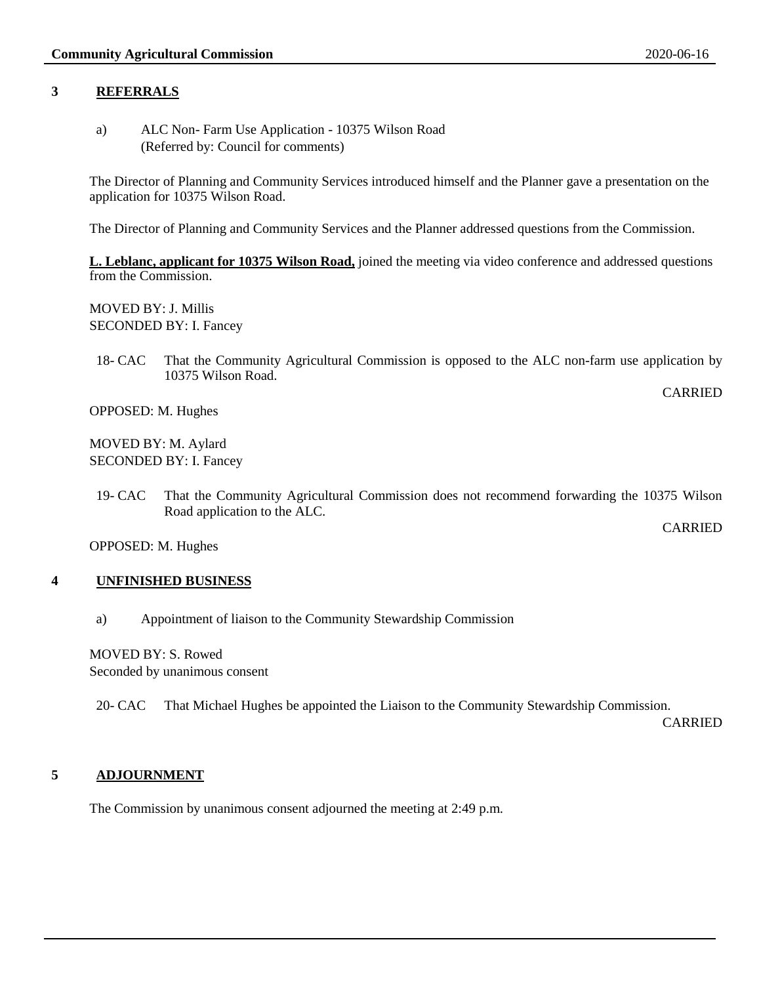### **3 REFERRALS**

a) ALC Non- Farm Use Application - 10375 Wilson Road (Referred by: Council for comments)

The Director of Planning and Community Services introduced himself and the Planner gave a presentation on the application for 10375 Wilson Road.

The Director of Planning and Community Services and the Planner addressed questions from the Commission.

**L. Leblanc, applicant for 10375 Wilson Road,** joined the meeting via video conference and addressed questions from the Commission.

MOVED BY: J. Millis SECONDED BY: I. Fancey

18- CAC That the Community Agricultural Commission is opposed to the ALC non-farm use application by 10375 Wilson Road.

OPPOSED: M. Hughes

MOVED BY: M. Aylard SECONDED BY: I. Fancey

19- CAC That the Community Agricultural Commission does not recommend forwarding the 10375 Wilson Road application to the ALC.

OPPOSED: M. Hughes

#### **4 UNFINISHED BUSINESS**

a) Appointment of liaison to the Community Stewardship Commission

MOVED BY: S. Rowed Seconded by unanimous consent

20- CAC That Michael Hughes be appointed the Liaison to the Community Stewardship Commission.

CARRIED

CARRIED

CARRIED

#### **5 ADJOURNMENT**

The Commission by unanimous consent adjourned the meeting at 2:49 p.m.